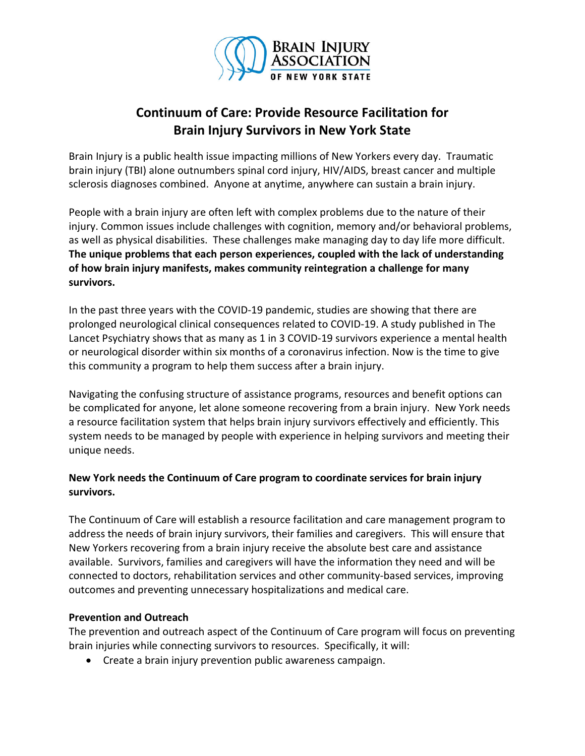

## **Continuum of Care: Provide Resource Facilitation for Brain Injury Survivors in New York State**

Brain Injury is a public health issue impacting millions of New Yorkers every day. Traumatic brain injury (TBI) alone outnumbers spinal cord injury, HIV/AIDS, breast cancer and multiple sclerosis diagnoses combined. Anyone at anytime, anywhere can sustain a brain injury.

People with a brain injury are often left with complex problems due to the nature of their injury. Common issues include challenges with cognition, memory and/or behavioral problems, as well as physical disabilities. These challenges make managing day to day life more difficult. **The unique problems that each person experiences, coupled with the lack of understanding of how brain injury manifests, makes community reintegration a challenge for many survivors.**

In the past three years with the COVID-19 pandemic, studies are showing that there are prolonged neurological clinical consequences related to COVID-19. A study published in The Lancet Psychiatry shows that as many as 1 in 3 COVID-19 survivors experience a mental health or neurological disorder within six months of a coronavirus infection. Now is the time to give this community a program to help them success after a brain injury.

Navigating the confusing structure of assistance programs, resources and benefit options can be complicated for anyone, let alone someone recovering from a brain injury. New York needs a resource facilitation system that helps brain injury survivors effectively and efficiently. This system needs to be managed by people with experience in helping survivors and meeting their unique needs.

## **New York needs the Continuum of Care program to coordinate services for brain injury survivors.**

The Continuum of Care will establish a resource facilitation and care management program to address the needs of brain injury survivors, their families and caregivers. This will ensure that New Yorkers recovering from a brain injury receive the absolute best care and assistance available. Survivors, families and caregivers will have the information they need and will be connected to doctors, rehabilitation services and other community-based services, improving outcomes and preventing unnecessary hospitalizations and medical care.

## **Prevention and Outreach**

The prevention and outreach aspect of the Continuum of Care program will focus on preventing brain injuries while connecting survivors to resources. Specifically, it will:

• Create a brain injury prevention public awareness campaign.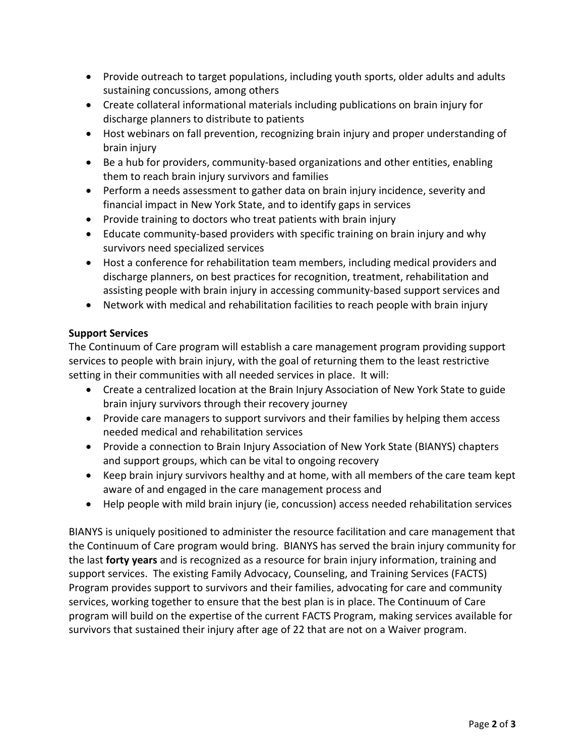- Provide outreach to target populations, including youth sports, older adults and adults sustaining concussions, among others
- Create collateral informational materials including publications on brain injury for discharge planners to distribute to patients
- Host webinars on fall prevention, recognizing brain injury and proper understanding of brain injury
- Be a hub for providers, community-based organizations and other entities, enabling them to reach brain injury survivors and families
- Perform a needs assessment to gather data on brain injury incidence, severity and financial impact in New York State, and to identify gaps in services
- Provide training to doctors who treat patients with brain injury
- Educate community-based providers with specific training on brain injury and why survivors need specialized services
- Host a conference for rehabilitation team members, including medical providers and discharge planners, on best practices for recognition, treatment, rehabilitation and assisting people with brain injury in accessing community-based support services and
- Network with medical and rehabilitation facilities to reach people with brain injury

## **Support Services**

The Continuum of Care program will establish a care management program providing support services to people with brain injury, with the goal of returning them to the least restrictive setting in their communities with all needed services in place. It will:

- Create a centralized location at the Brain Injury Association of New York State to guide brain injury survivors through their recovery journey
- Provide care managers to support survivors and their families by helping them access needed medical and rehabilitation services
- Provide a connection to Brain Injury Association of New York State (BIANYS) chapters and support groups, which can be vital to ongoing recovery
- Keep brain injury survivors healthy and at home, with all members of the care team kept aware of and engaged in the care management process and
- Help people with mild brain injury (ie, concussion) access needed rehabilitation services

BIANYS is uniquely positioned to administer the resource facilitation and care management that the Continuum of Care program would bring. BIANYS has served the brain injury community for the last **forty years** and is recognized as a resource for brain injury information, training and support services. The existing Family Advocacy, Counseling, and Training Services (FACTS) Program provides support to survivors and their families, advocating for care and community services, working together to ensure that the best plan is in place. The Continuum of Care program will build on the expertise of the current FACTS Program, making services available for survivors that sustained their injury after age of 22 that are not on a Waiver program.